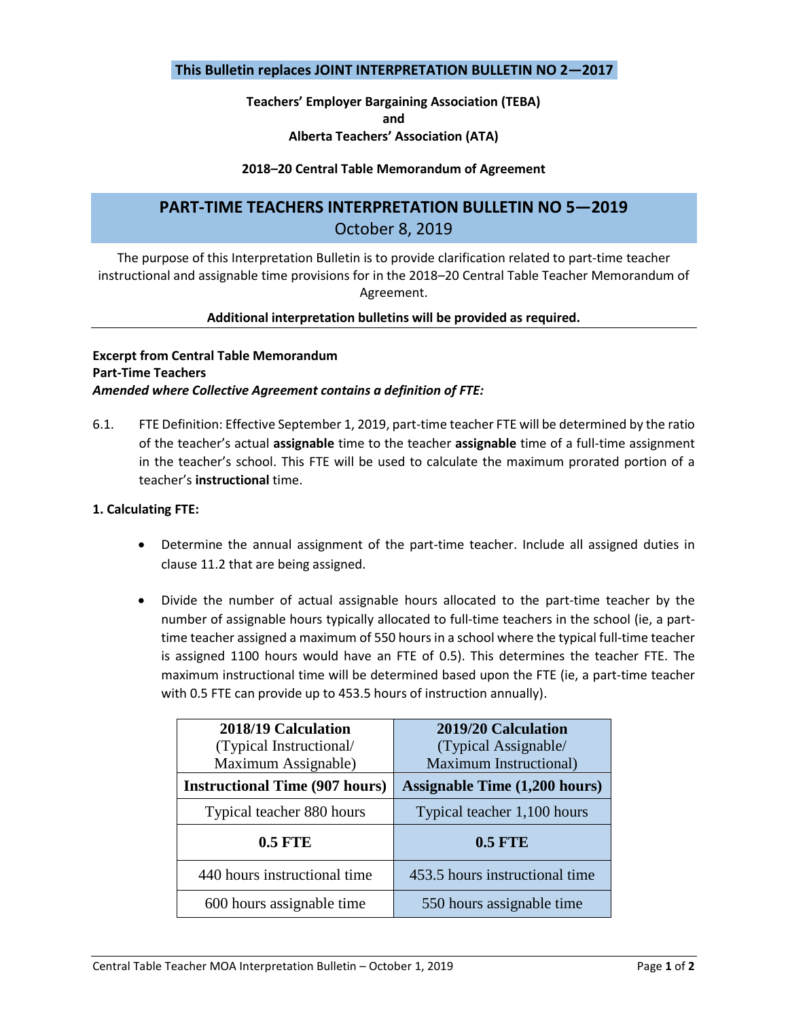### **This Bulletin replaces JOINT INTERPRETATION BULLETIN NO 2—2017**

# **Teachers' Employer Bargaining Association (TEBA) and**

# **Alberta Teachers' Association (ATA)**

#### **2018–20 Central Table Memorandum of Agreement**

## **PART-TIME TEACHERS INTERPRETATION BULLETIN NO 5—2019** October 8, 2019

The purpose of this Interpretation Bulletin is to provide clarification related to part-time teacher instructional and assignable time provisions for in the 2018–20 Central Table Teacher Memorandum of Agreement.

#### **Additional interpretation bulletins will be provided as required.**

### **Excerpt from Central Table Memorandum Part-Time Teachers** *Amended where Collective Agreement contains a definition of FTE:*

6.1. FTE Definition: Effective September 1, 2019, part-time teacher FTE will be determined by the ratio of the teacher's actual **assignable** time to the teacher **assignable** time of a full-time assignment in the teacher's school. This FTE will be used to calculate the maximum prorated portion of a teacher's **instructional** time.

#### **1. Calculating FTE:**

- Determine the annual assignment of the part-time teacher. Include all assigned duties in clause 11.2 that are being assigned.
- Divide the number of actual assignable hours allocated to the part-time teacher by the number of assignable hours typically allocated to full-time teachers in the school (ie, a parttime teacher assigned a maximum of 550 hours in a school where the typical full-time teacher is assigned 1100 hours would have an FTE of 0.5). This determines the teacher FTE. The maximum instructional time will be determined based upon the FTE (ie, a part-time teacher with 0.5 FTE can provide up to 453.5 hours of instruction annually).

| 2018/19 Calculation                   | 2019/20 Calculation                  |
|---------------------------------------|--------------------------------------|
| (Typical Instructional/               | (Typical Assignable/                 |
| Maximum Assignable)                   | Maximum Instructional)               |
| <b>Instructional Time (907 hours)</b> | <b>Assignable Time (1,200 hours)</b> |
| Typical teacher 880 hours             | Typical teacher 1,100 hours          |
| <b>0.5 FTE</b>                        | <b>0.5 FTE</b>                       |
| 440 hours instructional time          | 453.5 hours instructional time       |
| 600 hours assignable time             | 550 hours assignable time            |